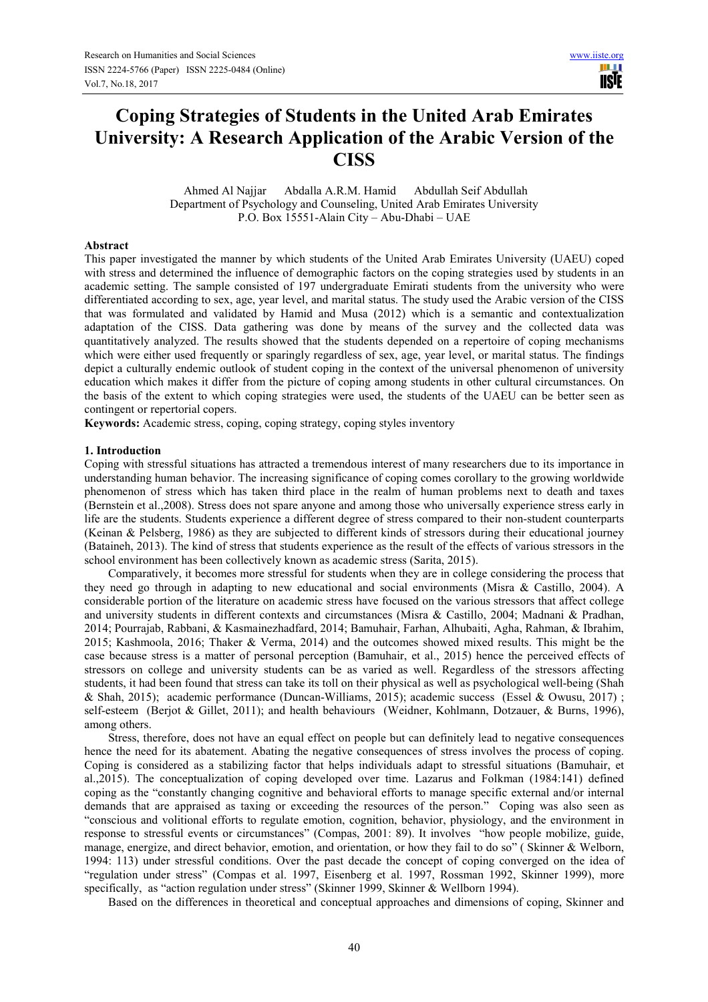Ш **IISTE** 

# **Coping Strategies of Students in the United Arab Emirates University: A Research Application of the Arabic Version of the CISS**

 Ahmed Al Najjar Abdalla A.R.M. Hamid Abdullah Seif Abdullah Department of Psychology and Counseling, United Arab Emirates University P.O. Box 15551-Alain City – Abu-Dhabi – UAE

#### **Abstract**

This paper investigated the manner by which students of the United Arab Emirates University (UAEU) coped with stress and determined the influence of demographic factors on the coping strategies used by students in an academic setting. The sample consisted of 197 undergraduate Emirati students from the university who were differentiated according to sex, age, year level, and marital status. The study used the Arabic version of the CISS that was formulated and validated by Hamid and Musa (2012) which is a semantic and contextualization adaptation of the CISS. Data gathering was done by means of the survey and the collected data was quantitatively analyzed. The results showed that the students depended on a repertoire of coping mechanisms which were either used frequently or sparingly regardless of sex, age, year level, or marital status. The findings depict a culturally endemic outlook of student coping in the context of the universal phenomenon of university education which makes it differ from the picture of coping among students in other cultural circumstances. On the basis of the extent to which coping strategies were used, the students of the UAEU can be better seen as contingent or repertorial copers.

**Keywords:** Academic stress, coping, coping strategy, coping styles inventory

#### **1. Introduction**

Coping with stressful situations has attracted a tremendous interest of many researchers due to its importance in understanding human behavior. The increasing significance of coping comes corollary to the growing worldwide phenomenon of stress which has taken third place in the realm of human problems next to death and taxes (Bernstein et al.,2008). Stress does not spare anyone and among those who universally experience stress early in life are the students. Students experience a different degree of stress compared to their non-student counterparts (Keinan & Pelsberg, 1986) as they are subjected to different kinds of stressors during their educational journey (Bataineh, 2013). The kind of stress that students experience as the result of the effects of various stressors in the school environment has been collectively known as academic stress (Sarita, 2015).

Comparatively, it becomes more stressful for students when they are in college considering the process that they need go through in adapting to new educational and social environments (Misra & Castillo, 2004). A considerable portion of the literature on academic stress have focused on the various stressors that affect college and university students in different contexts and circumstances (Misra & Castillo, 2004; Madnani & Pradhan, 2014; Pourrajab, Rabbani, & Kasmainezhadfard, 2014; Bamuhair, Farhan, Alhubaiti, Agha, Rahman, & Ibrahim, 2015; Kashmoola, 2016; Thaker & Verma, 2014) and the outcomes showed mixed results. This might be the case because stress is a matter of personal perception (Bamuhair, et al., 2015) hence the perceived effects of stressors on college and university students can be as varied as well. Regardless of the stressors affecting students, it had been found that stress can take its toll on their physical as well as psychological well-being (Shah & Shah, 2015); academic performance (Duncan-Williams, 2015); academic success (Essel & Owusu, 2017) ; self-esteem (Berjot & Gillet, 2011); and health behaviours (Weidner, Kohlmann, Dotzauer, & Burns, 1996), among others.

Stress, therefore, does not have an equal effect on people but can definitely lead to negative consequences hence the need for its abatement. Abating the negative consequences of stress involves the process of coping. Coping is considered as a stabilizing factor that helps individuals adapt to stressful situations (Bamuhair, et al.,2015). The conceptualization of coping developed over time. Lazarus and Folkman (1984:141) defined coping as the "constantly changing cognitive and behavioral efforts to manage specific external and/or internal demands that are appraised as taxing or exceeding the resources of the person." Coping was also seen as "conscious and volitional efforts to regulate emotion, cognition, behavior, physiology, and the environment in response to stressful events or circumstances" (Compas, 2001: 89). It involves "how people mobilize, guide, manage, energize, and direct behavior, emotion, and orientation, or how they fail to do so" ( Skinner & Welborn, 1994: 113) under stressful conditions. Over the past decade the concept of coping converged on the idea of "regulation under stress" (Compas et al. 1997, Eisenberg et al. 1997, Rossman 1992, Skinner 1999), more specifically, as "action regulation under stress" (Skinner 1999, Skinner & Wellborn 1994).

Based on the differences in theoretical and conceptual approaches and dimensions of coping, Skinner and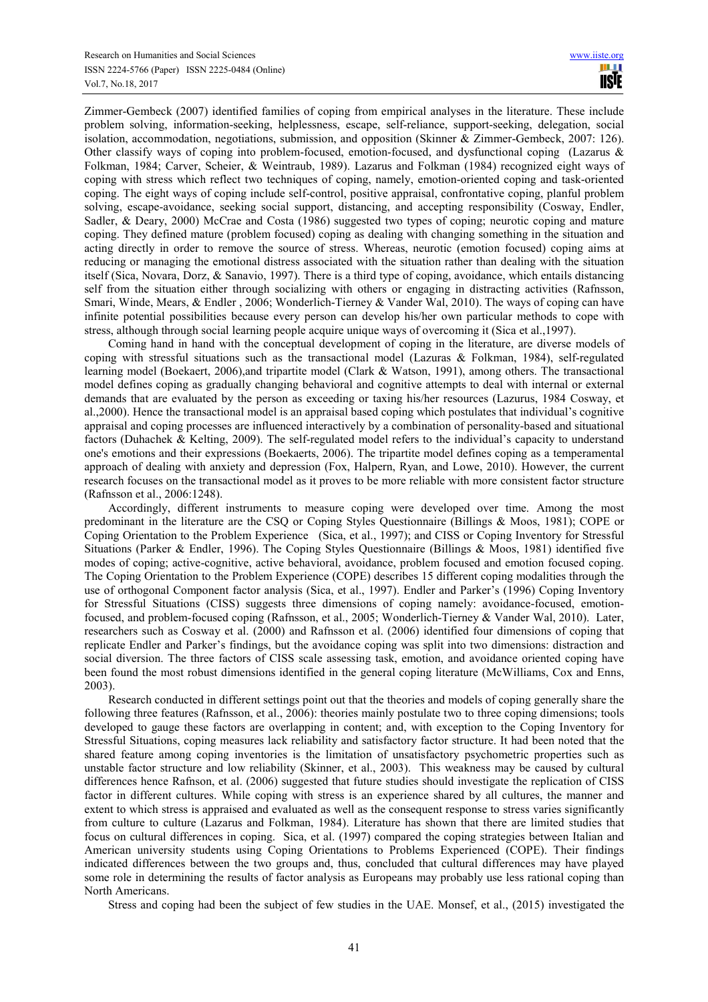Zimmer-Gembeck (2007) identified families of coping from empirical analyses in the literature. These include problem solving, information-seeking, helplessness, escape, self-reliance, support-seeking, delegation, social isolation, accommodation, negotiations, submission, and opposition (Skinner & Zimmer-Gembeck, 2007: 126). Other classify ways of coping into problem-focused, emotion-focused, and dysfunctional coping (Lazarus  $\&$ Folkman, 1984; Carver, Scheier, & Weintraub, 1989). Lazarus and Folkman (1984) recognized eight ways of coping with stress which reflect two techniques of coping, namely, emotion-oriented coping and task-oriented coping. The eight ways of coping include self-control, positive appraisal, confrontative coping, planful problem solving, escape-avoidance, seeking social support, distancing, and accepting responsibility (Cosway, Endler, Sadler, & Deary, 2000) McCrae and Costa (1986) suggested two types of coping; neurotic coping and mature coping. They defined mature (problem focused) coping as dealing with changing something in the situation and acting directly in order to remove the source of stress. Whereas, neurotic (emotion focused) coping aims at reducing or managing the emotional distress associated with the situation rather than dealing with the situation itself (Sica, Novara, Dorz, & Sanavio, 1997). There is a third type of coping, avoidance, which entails distancing self from the situation either through socializing with others or engaging in distracting activities (Rafnsson, Smari, Winde, Mears, & Endler , 2006; Wonderlich-Tierney & Vander Wal, 2010). The ways of coping can have infinite potential possibilities because every person can develop his/her own particular methods to cope with stress, although through social learning people acquire unique ways of overcoming it (Sica et al.,1997).

Coming hand in hand with the conceptual development of coping in the literature, are diverse models of coping with stressful situations such as the transactional model (Lazuras & Folkman, 1984), self-regulated learning model (Boekaert, 2006),and tripartite model (Clark & Watson, 1991), among others. The transactional model defines coping as gradually changing behavioral and cognitive attempts to deal with internal or external demands that are evaluated by the person as exceeding or taxing his/her resources (Lazurus, 1984 Cosway, et al.,2000). Hence the transactional model is an appraisal based coping which postulates that individual's cognitive appraisal and coping processes are influenced interactively by a combination of personality-based and situational factors (Duhachek & Kelting, 2009). The self-regulated model refers to the individual's capacity to understand one's emotions and their expressions (Boekaerts, 2006). The tripartite model defines coping as a temperamental approach of dealing with anxiety and depression (Fox, Halpern, Ryan, and Lowe, 2010). However, the current research focuses on the transactional model as it proves to be more reliable with more consistent factor structure (Rafnsson et al., 2006:1248).

Accordingly, different instruments to measure coping were developed over time. Among the most predominant in the literature are the CSQ or Coping Styles Questionnaire (Billings & Moos, 1981); COPE or Coping Orientation to the Problem Experience (Sica, et al., 1997); and CISS or Coping Inventory for Stressful Situations (Parker & Endler, 1996). The Coping Styles Questionnaire (Billings & Moos, 1981) identified five modes of coping; active-cognitive, active behavioral, avoidance, problem focused and emotion focused coping. The Coping Orientation to the Problem Experience (COPE) describes 15 different coping modalities through the use of orthogonal Component factor analysis (Sica, et al., 1997). Endler and Parker's (1996) Coping Inventory for Stressful Situations (CISS) suggests three dimensions of coping namely: avoidance-focused, emotionfocused, and problem-focused coping (Rafnsson, et al., 2005; Wonderlich-Tierney & Vander Wal, 2010). Later, researchers such as Cosway et al. (2000) and Rafnsson et al. (2006) identified four dimensions of coping that replicate Endler and Parker's findings, but the avoidance coping was split into two dimensions: distraction and social diversion. The three factors of CISS scale assessing task, emotion, and avoidance oriented coping have been found the most robust dimensions identified in the general coping literature (McWilliams, Cox and Enns, 2003).

Research conducted in different settings point out that the theories and models of coping generally share the following three features (Rafnsson, et al., 2006): theories mainly postulate two to three coping dimensions; tools developed to gauge these factors are overlapping in content; and, with exception to the Coping Inventory for Stressful Situations, coping measures lack reliability and satisfactory factor structure. It had been noted that the shared feature among coping inventories is the limitation of unsatisfactory psychometric properties such as unstable factor structure and low reliability (Skinner, et al., 2003). This weakness may be caused by cultural differences hence Rafnson, et al. (2006) suggested that future studies should investigate the replication of CISS factor in different cultures. While coping with stress is an experience shared by all cultures, the manner and extent to which stress is appraised and evaluated as well as the consequent response to stress varies significantly from culture to culture (Lazarus and Folkman, 1984). Literature has shown that there are limited studies that focus on cultural differences in coping. Sica, et al. (1997) compared the coping strategies between Italian and American university students using Coping Orientations to Problems Experienced (COPE). Their findings indicated differences between the two groups and, thus, concluded that cultural differences may have played some role in determining the results of factor analysis as Europeans may probably use less rational coping than North Americans.

Stress and coping had been the subject of few studies in the UAE. Monsef, et al., (2015) investigated the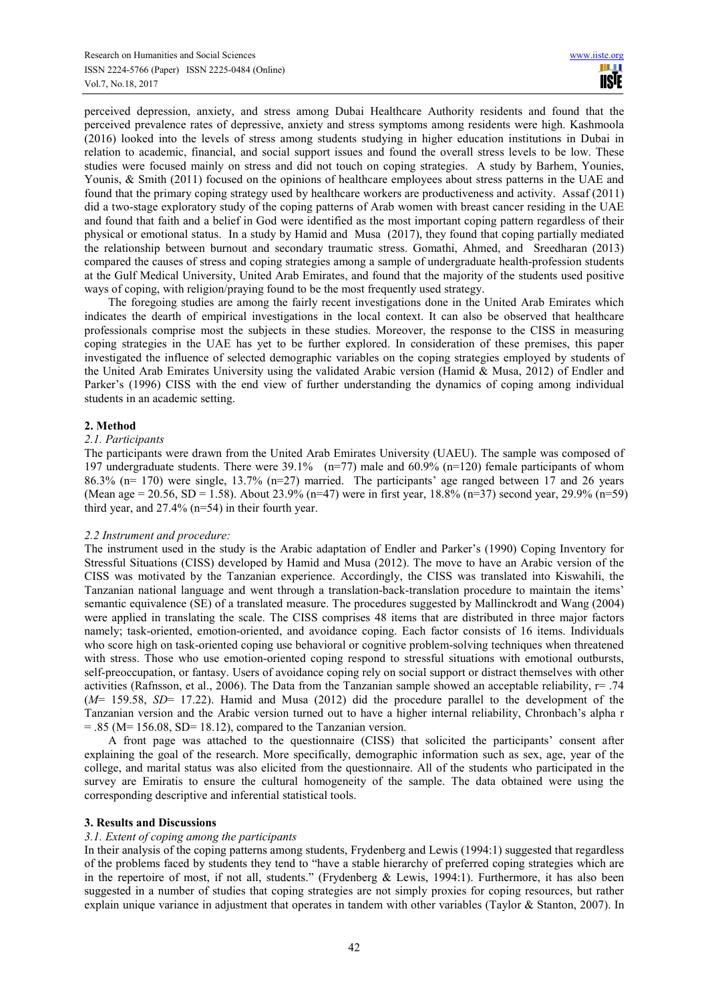perceived depression, anxiety, and stress among Dubai Healthcare Authority residents and found that the perceived prevalence rates of depressive, anxiety and stress symptoms among residents were high. Kashmoola (2016) looked into the levels of stress among students studying in higher education institutions in Dubai in relation to academic, financial, and social support issues and found the overall stress levels to be low. These studies were focused mainly on stress and did not touch on coping strategies. A study by Barhem, Younies, Younis, & Smith (2011) focused on the opinions of healthcare employees about stress patterns in the UAE and found that the primary coping strategy used by healthcare workers are productiveness and activity. Assaf (2011) did a two-stage exploratory study of the coping patterns of Arab women with breast cancer residing in the UAE and found that faith and a belief in God were identified as the most important coping pattern regardless of their physical or emotional status. In a study by Hamid and Musa (2017), they found that coping partially mediated the relationship between burnout and secondary traumatic stress. Gomathi, Ahmed, and Sreedharan (2013) compared the causes of stress and coping strategies among a sample of undergraduate health-profession students at the Gulf Medical University, United Arab Emirates, and found that the majority of the students used positive ways of coping, with religion/praying found to be the most frequently used strategy.

The foregoing studies are among the fairly recent investigations done in the United Arab Emirates which indicates the dearth of empirical investigations in the local context. It can also be observed that healthcare professionals comprise most the subjects in these studies. Moreover, the response to the CISS in measuring coping strategies in the UAE has yet to be further explored. In consideration of these premises, this paper investigated the influence of selected demographic variables on the coping strategies employed by students of the United Arab Emirates University using the validated Arabic version (Hamid & Musa, 2012) of Endler and Parker's (1996) CISS with the end view of further understanding the dynamics of coping among individual students in an academic setting.

# **2. Method**

## *2.1. Participants*

The participants were drawn from the United Arab Emirates University (UAEU). The sample was composed of 197 undergraduate students. There were 39.1% (n=77) male and 60.9% (n=120) female participants of whom 86.3% (n= 170) were single, 13.7% (n=27) married. The participants' age ranged between 17 and 26 years (Mean age = 20.56, SD = 1.58). About 23.9% (n=47) were in first year, 18.8% (n=37) second year, 29.9% (n=59) third year, and 27.4% (n=54) in their fourth year.

# *2.2 Instrument and procedure:*

The instrument used in the study is the Arabic adaptation of Endler and Parker's (1990) Coping Inventory for Stressful Situations (CISS) developed by Hamid and Musa (2012). The move to have an Arabic version of the CISS was motivated by the Tanzanian experience. Accordingly, the CISS was translated into Kiswahili, the Tanzanian national language and went through a translation-back-translation procedure to maintain the items' semantic equivalence (SE) of a translated measure. The procedures suggested by Mallinckrodt and Wang (2004) were applied in translating the scale. The CISS comprises 48 items that are distributed in three major factors namely; task-oriented, emotion-oriented, and avoidance coping. Each factor consists of 16 items. Individuals who score high on task-oriented coping use behavioral or cognitive problem-solving techniques when threatened with stress. Those who use emotion-oriented coping respond to stressful situations with emotional outbursts, self-preoccupation, or fantasy. Users of avoidance coping rely on social support or distract themselves with other activities (Rafnsson, et al., 2006). The Data from the Tanzanian sample showed an acceptable reliability, r= .74 (*M*= 159.58, *SD*= 17.22). Hamid and Musa (2012) did the procedure parallel to the development of the Tanzanian version and the Arabic version turned out to have a higher internal reliability, Chronbach's alpha r  $= .85$  (M= 156.08, SD= 18.12), compared to the Tanzanian version.

A front page was attached to the questionnaire (CISS) that solicited the participants' consent after explaining the goal of the research. More specifically, demographic information such as sex, age, year of the college, and marital status was also elicited from the questionnaire. All of the students who participated in the survey are Emiratis to ensure the cultural homogeneity of the sample. The data obtained were using the corresponding descriptive and inferential statistical tools.

# **3. Results and Discussions**

## *3.1. Extent of coping among the participants*

In their analysis of the coping patterns among students, Frydenberg and Lewis (1994:1) suggested that regardless of the problems faced by students they tend to "have a stable hierarchy of preferred coping strategies which are in the repertoire of most, if not all, students." (Frydenberg & Lewis, 1994:1). Furthermore, it has also been suggested in a number of studies that coping strategies are not simply proxies for coping resources, but rather explain unique variance in adjustment that operates in tandem with other variables (Taylor & Stanton, 2007). In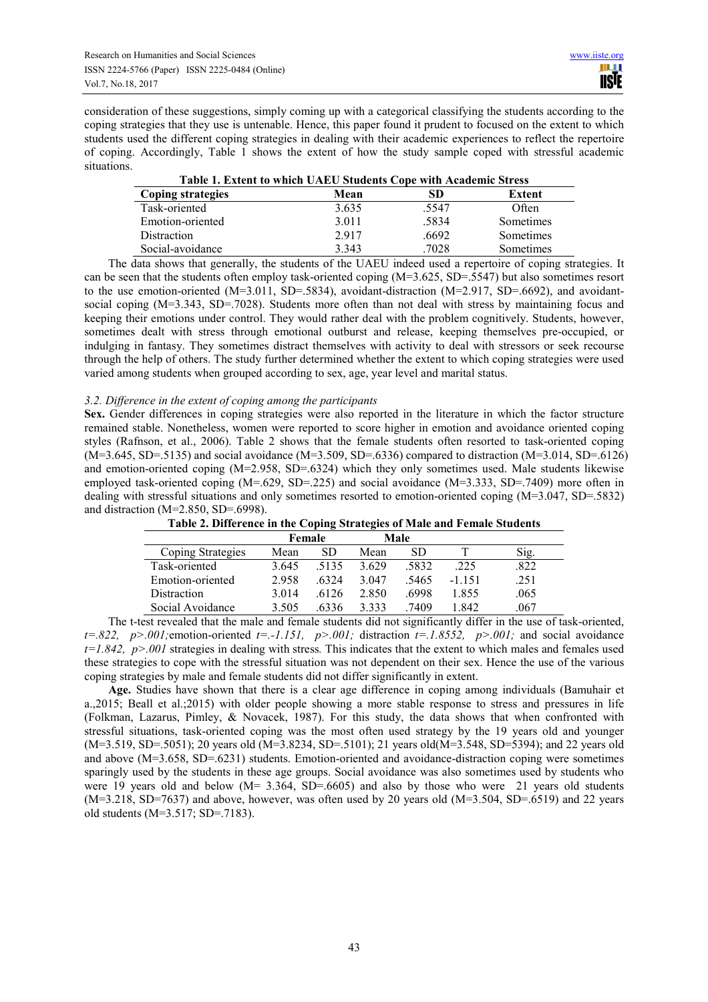consideration of these suggestions, simply coming up with a categorical classifying the students according to the coping strategies that they use is untenable. Hence, this paper found it prudent to focused on the extent to which students used the different coping strategies in dealing with their academic experiences to reflect the repertoire of coping. Accordingly, Table 1 shows the extent of how the study sample coped with stressful academic situations. **Table 1. Extent to which UAEU Students Cope with Academic Stress** 

| Table 1. Extent to which UAEU Students Cope with Academic Stress |       |       |           |  |  |  |  |  |
|------------------------------------------------------------------|-------|-------|-----------|--|--|--|--|--|
| Coping strategies                                                | Mean  | SD    | Extent    |  |  |  |  |  |
| Task-oriented                                                    | 3.635 | .5547 | Often     |  |  |  |  |  |
| Emotion-oriented                                                 | 3.011 | .5834 | Sometimes |  |  |  |  |  |
| Distraction                                                      | 2.917 | .6692 | Sometimes |  |  |  |  |  |
| Social-avoidance                                                 | 3.343 | .7028 | Sometimes |  |  |  |  |  |

The data shows that generally, the students of the UAEU indeed used a repertoire of coping strategies. It can be seen that the students often employ task-oriented coping  $(M=3.625, SD=.5547)$  but also sometimes resort to the use emotion-oriented  $(M=3.011, SD=5834)$ , avoidant-distraction  $(M=2.917, SD=6692)$ , and avoidantsocial coping (M=3.343, SD=.7028). Students more often than not deal with stress by maintaining focus and keeping their emotions under control. They would rather deal with the problem cognitively. Students, however, sometimes dealt with stress through emotional outburst and release, keeping themselves pre-occupied, or indulging in fantasy. They sometimes distract themselves with activity to deal with stressors or seek recourse through the help of others. The study further determined whether the extent to which coping strategies were used varied among students when grouped according to sex, age, year level and marital status.

## *3.2. Difference in the extent of coping among the participants*

**Sex.** Gender differences in coping strategies were also reported in the literature in which the factor structure remained stable. Nonetheless, women were reported to score higher in emotion and avoidance oriented coping styles (Rafnson, et al., 2006). Table 2 shows that the female students often resorted to task-oriented coping  $(M=3.645, SD=5135)$  and social avoidance  $(M=3.509, SD=6336)$  compared to distraction  $(M=3.014, SD=6126)$ and emotion-oriented coping (M=2.958, SD=.6324) which they only sometimes used. Male students likewise employed task-oriented coping (M=.629, SD=.225) and social avoidance (M=3.333, SD=.7409) more often in dealing with stressful situations and only sometimes resorted to emotion-oriented coping (M=3.047, SD=.5832) and distraction (M=2.850, SD=.6998).

| Table 2. Difference in the Coping Strategies of Male and Female Students |
|--------------------------------------------------------------------------|
|                                                                          |

|                   |         | Female | Male    |      |          |      |
|-------------------|---------|--------|---------|------|----------|------|
| Coping Strategies | Mean    | SD     | Mean    | SD   |          | S1g. |
| Task-oriented     | 3.645   | 5135   | 3.629   | 5832 | .225     | 822  |
| Emotion-oriented  | 2958    | 6324   | 3 047   | 5465 | $-1$ 151 | .251 |
| Distraction       | 3 0 1 4 | 6126   | 2.850   | 6998 | 1855     | .065 |
| Social Avoidance  | 3.505   | 6336   | 3 3 3 3 | 7409 | 1 842    | .067 |

The t-test revealed that the male and female students did not significantly differ in the use of task-oriented,  $t=.822, p>.001$ ; emotion-oriented  $t=-1.151, p>.001$ ; distraction  $t=.1.8552, p>.001$ ; and social avoidance  $t=1.842$ ,  $p>0.01$  strategies in dealing with stress. This indicates that the extent to which males and females used these strategies to cope with the stressful situation was not dependent on their sex. Hence the use of the various coping strategies by male and female students did not differ significantly in extent.

**Age.** Studies have shown that there is a clear age difference in coping among individuals (Bamuhair et a.,2015; Beall et al.;2015) with older people showing a more stable response to stress and pressures in life (Folkman, Lazarus, Pimley, & Novacek, 1987). For this study, the data shows that when confronted with stressful situations, task-oriented coping was the most often used strategy by the 19 years old and younger (M=3.519, SD=.5051); 20 years old (M=3.8234, SD=.5101); 21 years old(M=3.548, SD=5394); and 22 years old and above (M=3.658, SD=.6231) students. Emotion-oriented and avoidance-distraction coping were sometimes sparingly used by the students in these age groups. Social avoidance was also sometimes used by students who were 19 years old and below (M= 3.364, SD=.6605) and also by those who were 21 years old students (M=3.218, SD=7637) and above, however, was often used by 20 years old (M=3.504, SD=.6519) and 22 years old students (M=3.517; SD=.7183).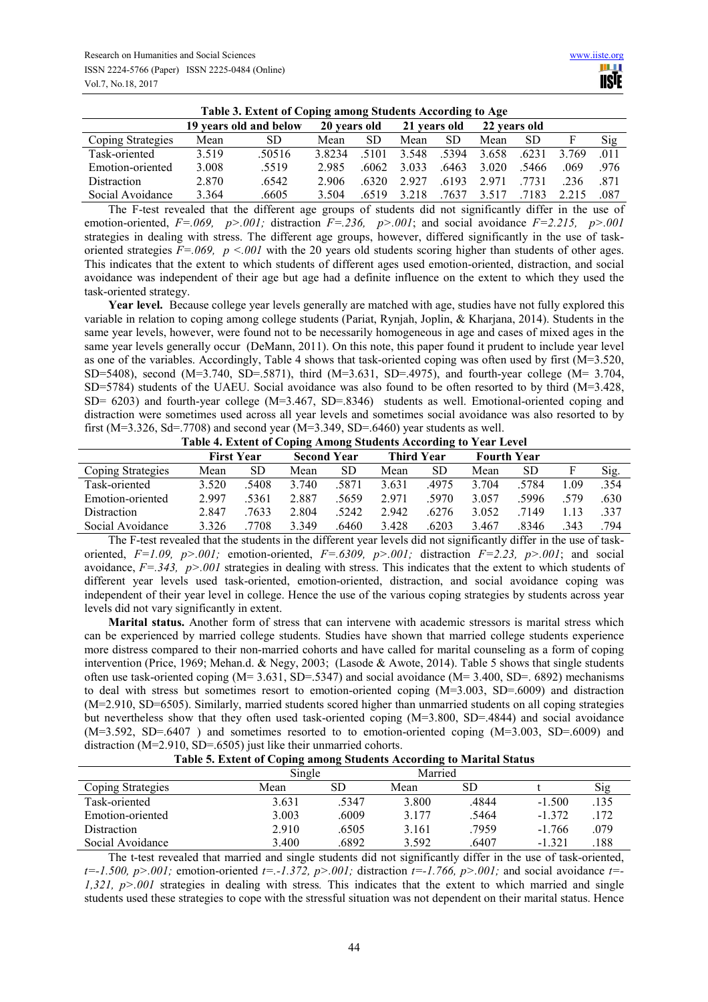| Table 3. Extent of Coping among Students According to Age |                        |        |              |           |              |       |              |           |       |      |
|-----------------------------------------------------------|------------------------|--------|--------------|-----------|--------------|-------|--------------|-----------|-------|------|
|                                                           | 19 years old and below |        | 20 years old |           | 21 years old |       | 22 years old |           |       |      |
| Coping Strategies                                         | Mean                   | SD     | Mean         | <b>SD</b> | Mean         | SD.   | Mean         | <b>SD</b> |       | Sig  |
| Task-oriented                                             | 3.519                  | .50516 | 3.8234       | 5101      | 3.548        | 5394  | 3.658        | .6231     | 3 769 | .011 |
| Emotion-oriented                                          | 3.008                  | .5519  | 2985         | .6062     | 3.033        | .6463 | 3 0 2 0      | -5466     | 069   | -976 |
| <b>Distraction</b>                                        | 2.870                  | .6542  | 2.906        | 6320      | 2927         | 6193  | 2.971        | 7731      | 236   | -871 |
| Social Avoidance                                          | 3.364                  | .6605  | 3.504        | 6519      | 3.218        | 7637  | 3.517        | 7183      |       | .087 |

The F-test revealed that the different age groups of students did not significantly differ in the use of emotion-oriented,  $F = .069$ ,  $p > .001$ ; distraction  $F = .236$ ,  $p > .001$ ; and social avoidance  $F = 2.215$ ,  $p > .001$ strategies in dealing with stress. The different age groups, however, differed significantly in the use of taskoriented strategies *F*=.069, *p* <.001 with the 20 years old students scoring higher than students of other ages. This indicates that the extent to which students of different ages used emotion-oriented, distraction, and social avoidance was independent of their age but age had a definite influence on the extent to which they used the task-oriented strategy.

Year level. Because college year levels generally are matched with age, studies have not fully explored this variable in relation to coping among college students (Pariat, Rynjah, Joplin, & Kharjana, 2014). Students in the same year levels, however, were found not to be necessarily homogeneous in age and cases of mixed ages in the same year levels generally occur (DeMann, 2011). On this note, this paper found it prudent to include year level as one of the variables. Accordingly, Table 4 shows that task-oriented coping was often used by first (M=3.520, SD=5408), second (M=3.740, SD=.5871), third (M=3.631, SD=.4975), and fourth-year college (M= 3.704, SD=5784) students of the UAEU. Social avoidance was also found to be often resorted to by third (M=3.428, SD= 6203) and fourth-year college (M=3.467, SD=.8346) students as well. Emotional-oriented coping and distraction were sometimes used across all year levels and sometimes social avoidance was also resorted to by first ( $M=3.326$ ,  $Sd=7708$ ) and second year ( $M=3.349$ ,  $SD=6460$ ) year students as well.

|  | Table 4. Extent of Coping Among Students According to Year Level |
|--|------------------------------------------------------------------|

|                    |                   |      | .                  | $\cdot$ |                   | . .   |                    |       |      |      |
|--------------------|-------------------|------|--------------------|---------|-------------------|-------|--------------------|-------|------|------|
|                    | <b>First Year</b> |      | <b>Second Year</b> |         | <b>Third Year</b> |       | <b>Fourth Year</b> |       |      |      |
| Coping Strategies  | Mean              | SD   | Mean               | SD      | Mean              | SD    | Mean               | SD    |      | Sig. |
| Task-oriented      | 3.520             | 5408 | 3.740              | 5871    | 3.631             | .4975 | 3 704              | 5784  | - 09 | .354 |
| Emotion-oriented   | 2997              | 5361 | 2.887              | 5659    | 2971              | 5970  | 3.057              | 5996  | 579  | .630 |
| <b>Distraction</b> | 2.847             | 7633 | 2.804              | 5242    | 2942              | .6276 | 3.052              | 7149  |      | .337 |
| Social Avoidance   | 3.326             | 7708 | 3.349              | .6460   | 3.428             | 6203  | 3.467              | .8346 | 343  | 794  |

The F-test revealed that the students in the different year levels did not significantly differ in the use of taskoriented,  $F=1.09$ ,  $p>0.01$ ; emotion-oriented,  $F=6309$ ,  $p>0.01$ ; distraction  $F=2.23$ ,  $p>0.01$ ; and social avoidance, *F=.343, p>.001* strategies in dealing with stress. This indicates that the extent to which students of different year levels used task-oriented, emotion-oriented, distraction, and social avoidance coping was independent of their year level in college. Hence the use of the various coping strategies by students across year levels did not vary significantly in extent.

**Marital status.** Another form of stress that can intervene with academic stressors is marital stress which can be experienced by married college students. Studies have shown that married college students experience more distress compared to their non-married cohorts and have called for marital counseling as a form of coping intervention (Price, 1969; Mehan.d. & Negy, 2003; (Lasode & Awote, 2014). Table 5 shows that single students often use task-oriented coping  $(M= 3.631, SD=.5347)$  and social avoidance  $(M= 3.400, SD=.6892)$  mechanisms to deal with stress but sometimes resort to emotion-oriented coping (M=3.003, SD=.6009) and distraction (M=2.910, SD=6505). Similarly, married students scored higher than unmarried students on all coping strategies but nevertheless show that they often used task-oriented coping (M=3.800, SD=.4844) and social avoidance (M=3.592, SD=.6407 ) and sometimes resorted to to emotion-oriented coping (M=3.003, SD=.6009) and distraction (M=2.910, SD=.6505) just like their unmarried cohorts.

| Table 5. Extent of Coping among Students According to Marital Status |  |  |
|----------------------------------------------------------------------|--|--|

|                   | Single |       | Married |       |          |      |
|-------------------|--------|-------|---------|-------|----------|------|
| Coping Strategies | Mean   | SD    | Mean    | SD    |          | Sig  |
| Task-oriented     | 3.631  | .5347 | 3.800   | .4844 | $-1.500$ | .135 |
| Emotion-oriented  | 3.003  | .6009 | 3.177   | .5464 | $-1.372$ | 172  |
| Distraction       | 2.910  | .6505 | 3.161   | .7959 | $-1.766$ | .079 |
| Social Avoidance  | 3.400  | .6892 | 3.592   | .6407 | $-1.321$ | 188  |

The t-test revealed that married and single students did not significantly differ in the use of task-oriented, *t=-1.500, p>.001;* emotion-oriented *t=.-1.372, p>.001;* distraction *t=-1.766, p>.001;* and social avoidance *t=- 1,321, p>.001* strategies in dealing with stress*.* This indicates that the extent to which married and single students used these strategies to cope with the stressful situation was not dependent on their marital status. Hence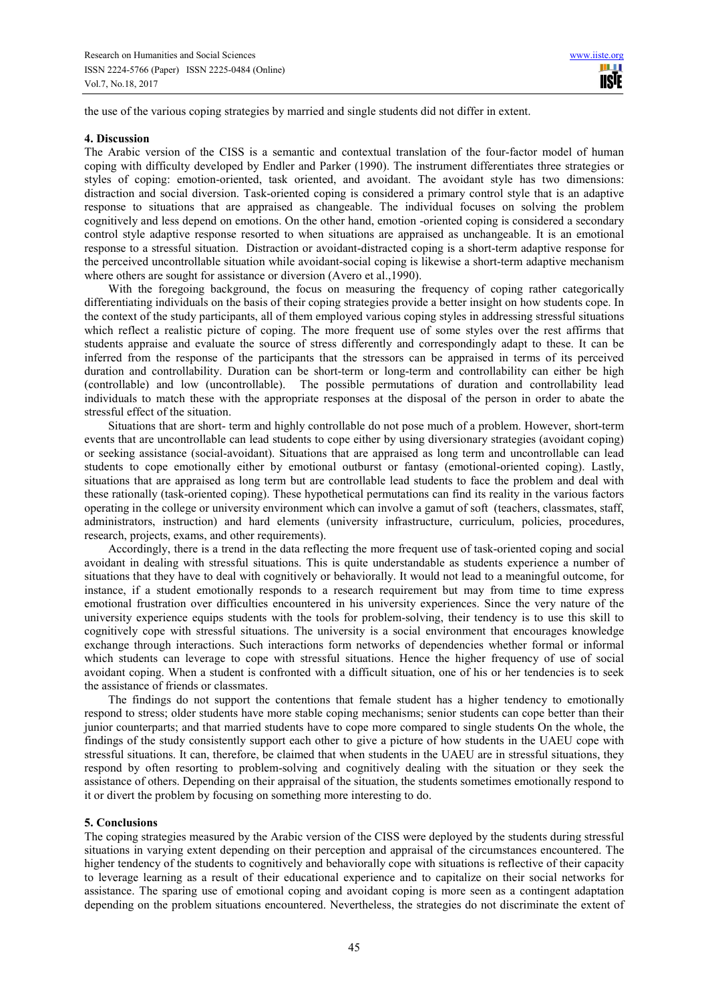the use of the various coping strategies by married and single students did not differ in extent.

#### **4. Discussion**

The Arabic version of the CISS is a semantic and contextual translation of the four-factor model of human coping with difficulty developed by Endler and Parker (1990). The instrument differentiates three strategies or styles of coping: emotion-oriented, task oriented, and avoidant. The avoidant style has two dimensions: distraction and social diversion. Task-oriented coping is considered a primary control style that is an adaptive response to situations that are appraised as changeable. The individual focuses on solving the problem cognitively and less depend on emotions. On the other hand, emotion -oriented coping is considered a secondary control style adaptive response resorted to when situations are appraised as unchangeable. It is an emotional response to a stressful situation. Distraction or avoidant-distracted coping is a short-term adaptive response for the perceived uncontrollable situation while avoidant-social coping is likewise a short-term adaptive mechanism where others are sought for assistance or diversion (Avero et al.,1990).

With the foregoing background, the focus on measuring the frequency of coping rather categorically differentiating individuals on the basis of their coping strategies provide a better insight on how students cope. In the context of the study participants, all of them employed various coping styles in addressing stressful situations which reflect a realistic picture of coping. The more frequent use of some styles over the rest affirms that students appraise and evaluate the source of stress differently and correspondingly adapt to these. It can be inferred from the response of the participants that the stressors can be appraised in terms of its perceived duration and controllability. Duration can be short-term or long-term and controllability can either be high (controllable) and low (uncontrollable). The possible permutations of duration and controllability lead individuals to match these with the appropriate responses at the disposal of the person in order to abate the stressful effect of the situation.

Situations that are short- term and highly controllable do not pose much of a problem. However, short-term events that are uncontrollable can lead students to cope either by using diversionary strategies (avoidant coping) or seeking assistance (social-avoidant). Situations that are appraised as long term and uncontrollable can lead students to cope emotionally either by emotional outburst or fantasy (emotional-oriented coping). Lastly, situations that are appraised as long term but are controllable lead students to face the problem and deal with these rationally (task-oriented coping). These hypothetical permutations can find its reality in the various factors operating in the college or university environment which can involve a gamut of soft (teachers, classmates, staff, administrators, instruction) and hard elements (university infrastructure, curriculum, policies, procedures, research, projects, exams, and other requirements).

Accordingly, there is a trend in the data reflecting the more frequent use of task-oriented coping and social avoidant in dealing with stressful situations. This is quite understandable as students experience a number of situations that they have to deal with cognitively or behaviorally. It would not lead to a meaningful outcome, for instance, if a student emotionally responds to a research requirement but may from time to time express emotional frustration over difficulties encountered in his university experiences. Since the very nature of the university experience equips students with the tools for problem-solving, their tendency is to use this skill to cognitively cope with stressful situations. The university is a social environment that encourages knowledge exchange through interactions. Such interactions form networks of dependencies whether formal or informal which students can leverage to cope with stressful situations. Hence the higher frequency of use of social avoidant coping. When a student is confronted with a difficult situation, one of his or her tendencies is to seek the assistance of friends or classmates.

The findings do not support the contentions that female student has a higher tendency to emotionally respond to stress; older students have more stable coping mechanisms; senior students can cope better than their junior counterparts; and that married students have to cope more compared to single students On the whole, the findings of the study consistently support each other to give a picture of how students in the UAEU cope with stressful situations. It can, therefore, be claimed that when students in the UAEU are in stressful situations, they respond by often resorting to problem-solving and cognitively dealing with the situation or they seek the assistance of others. Depending on their appraisal of the situation, the students sometimes emotionally respond to it or divert the problem by focusing on something more interesting to do.

## **5. Conclusions**

The coping strategies measured by the Arabic version of the CISS were deployed by the students during stressful situations in varying extent depending on their perception and appraisal of the circumstances encountered. The higher tendency of the students to cognitively and behaviorally cope with situations is reflective of their capacity to leverage learning as a result of their educational experience and to capitalize on their social networks for assistance. The sparing use of emotional coping and avoidant coping is more seen as a contingent adaptation depending on the problem situations encountered. Nevertheless, the strategies do not discriminate the extent of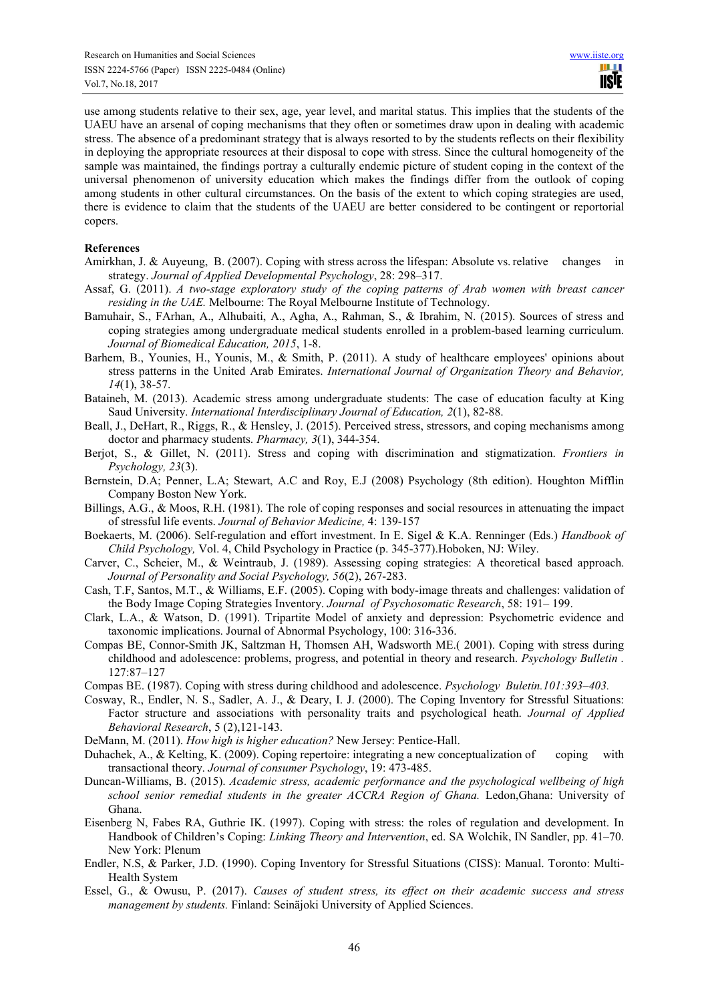use among students relative to their sex, age, year level, and marital status. This implies that the students of the UAEU have an arsenal of coping mechanisms that they often or sometimes draw upon in dealing with academic stress. The absence of a predominant strategy that is always resorted to by the students reflects on their flexibility in deploying the appropriate resources at their disposal to cope with stress. Since the cultural homogeneity of the sample was maintained, the findings portray a culturally endemic picture of student coping in the context of the universal phenomenon of university education which makes the findings differ from the outlook of coping among students in other cultural circumstances. On the basis of the extent to which coping strategies are used, there is evidence to claim that the students of the UAEU are better considered to be contingent or reportorial copers.

## **References**

- Amirkhan, J. & Auyeung, B. (2007). Coping with stress across the lifespan: Absolute vs. relative changes in strategy. *Journal of Applied Developmental Psychology*, 28: 298–317.
- Assaf, G. (2011). *A two-stage exploratory study of the coping patterns of Arab women with breast cancer residing in the UAE.* Melbourne: The Royal Melbourne Institute of Technology.
- Bamuhair, S., FArhan, A., Alhubaiti, A., Agha, A., Rahman, S., & Ibrahim, N. (2015). Sources of stress and coping strategies among undergraduate medical students enrolled in a problem-based learning curriculum. *Journal of Biomedical Education, 2015*, 1-8.
- Barhem, B., Younies, H., Younis, M., & Smith, P. (2011). A study of healthcare employees' opinions about stress patterns in the United Arab Emirates. *International Journal of Organization Theory and Behavior, 14*(1), 38-57.
- Bataineh, M. (2013). Academic stress among undergraduate students: The case of education faculty at King Saud University. *International Interdisciplinary Journal of Education, 2*(1), 82-88.
- Beall, J., DeHart, R., Riggs, R., & Hensley, J. (2015). Perceived stress, stressors, and coping mechanisms among doctor and pharmacy students. *Pharmacy, 3*(1), 344-354.
- Berjot, S., & Gillet, N. (2011). Stress and coping with discrimination and stigmatization. *Frontiers in Psychology, 23*(3).
- Bernstein, D.A; Penner, L.A; Stewart, A.C and Roy, E.J (2008) Psychology (8th edition). Houghton Mifflin Company Boston New York.
- Billings, A.G., & Moos, R.H. (1981). The role of coping responses and social resources in attenuating the impact of stressful life events. *Journal of Behavior Medicine,* 4: 139-157
- Boekaerts, M. (2006). Self-regulation and effort investment. In E. Sigel & K.A. Renninger (Eds.) *Handbook of Child Psychology,* Vol. 4, Child Psychology in Practice (p. 345-377).Hoboken, NJ: Wiley.
- Carver, C., Scheier, M., & Weintraub, J. (1989). Assessing coping strategies: A theoretical based approach. *Journal of Personality and Social Psychology, 56*(2), 267-283.
- Cash, T.F, Santos, M.T., & Williams, E.F. (2005). Coping with body-image threats and challenges: validation of the Body Image Coping Strategies Inventory. *Journal of Psychosomatic Research*, 58: 191– 199.
- Clark, L.A., & Watson, D. (1991). Tripartite Model of anxiety and depression: Psychometric evidence and taxonomic implications. Journal of Abnormal Psychology, 100: 316-336.
- Compas BE, Connor-Smith JK, Saltzman H, Thomsen AH, Wadsworth ME.( 2001). Coping with stress during childhood and adolescence: problems, progress, and potential in theory and research. *Psychology Bulletin .*  127:87–127
- Compas BE. (1987). Coping with stress during childhood and adolescence. *Psychology Buletin.101:393–403.*
- Cosway, R., Endler, N. S., Sadler, A. J., & Deary, I. J. (2000). The Coping Inventory for Stressful Situations: Factor structure and associations with personality traits and psychological heath. *Journal of Applied Behavioral Research*, 5 (2),121-143.
- DeMann, M. (2011). *How high is higher education?* New Jersey: Pentice-Hall.
- Duhachek, A., & Kelting, K. (2009). Coping repertoire: integrating a new conceptualization of coping with transactional theory. *Journal of consumer Psychology*, 19: 473-485.
- Duncan-Williams, B. (2015). *Academic stress, academic performance and the psychological wellbeing of high school senior remedial students in the greater ACCRA Region of Ghana.* Ledon,Ghana: University of Ghana.
- Eisenberg N, Fabes RA, Guthrie IK. (1997). Coping with stress: the roles of regulation and development. In Handbook of Children's Coping: *Linking Theory and Intervention*, ed. SA Wolchik, IN Sandler, pp. 41–70. New York: Plenum
- Endler, N.S, & Parker, J.D. (1990). Coping Inventory for Stressful Situations (CISS): Manual. Toronto: Multi-Health System
- Essel, G., & Owusu, P. (2017). *Causes of student stress, its effect on their academic success and stress management by students.* Finland: Seinäjoki University of Applied Sciences.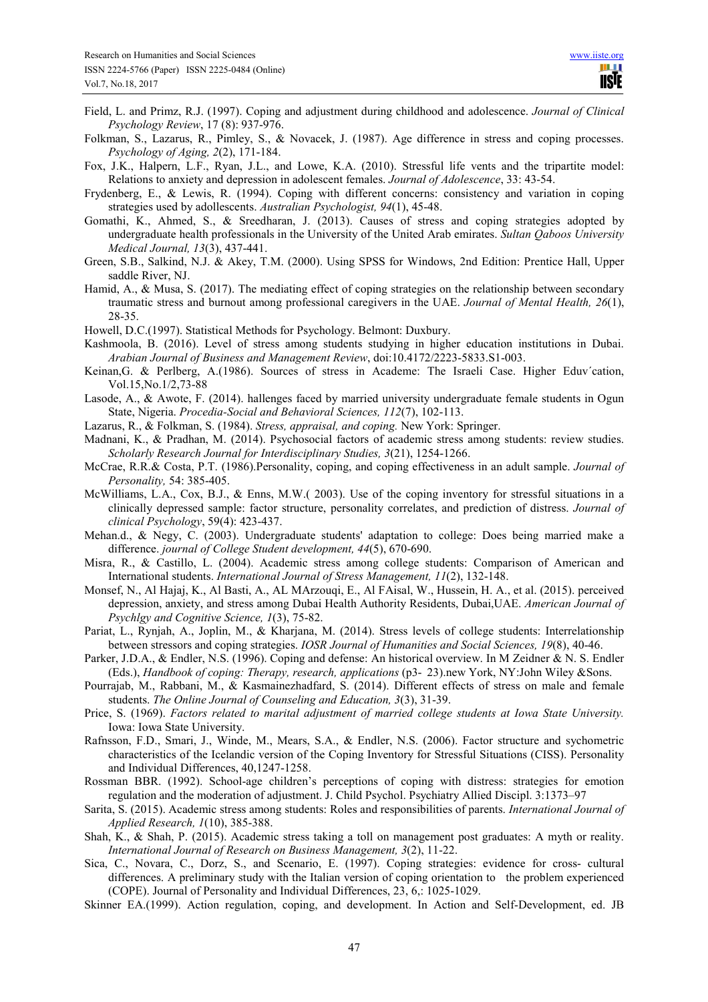- Field, L. and Primz, R.J. (1997). Coping and adjustment during childhood and adolescence. *Journal of Clinical Psychology Review*, 17 (8): 937-976.
- Folkman, S., Lazarus, R., Pimley, S., & Novacek, J. (1987). Age difference in stress and coping processes. *Psychology of Aging, 2*(2), 171-184.
- Fox, J.K., Halpern, L.F., Ryan, J.L., and Lowe, K.A. (2010). Stressful life vents and the tripartite model: Relations to anxiety and depression in adolescent females. *Journal of Adolescence*, 33: 43-54.
- Frydenberg, E., & Lewis, R. (1994). Coping with different concerns: consistency and variation in coping strategies used by adollescents. *Australian Psychologist, 94*(1), 45-48.
- Gomathi, K., Ahmed, S., & Sreedharan, J. (2013). Causes of stress and coping strategies adopted by undergraduate health professionals in the University of the United Arab emirates. *Sultan Qaboos University Medical Journal, 13*(3), 437-441.
- Green, S.B., Salkind, N.J. & Akey, T.M. (2000). Using SPSS for Windows, 2nd Edition: Prentice Hall, Upper saddle River, NJ.
- Hamid, A., & Musa, S. (2017). The mediating effect of coping strategies on the relationship between secondary traumatic stress and burnout among professional caregivers in the UAE. *Journal of Mental Health, 26*(1), 28-35.
- Howell, D.C.(1997). Statistical Methods for Psychology. Belmont: Duxbury.
- Kashmoola, B. (2016). Level of stress among students studying in higher education institutions in Dubai. *Arabian Journal of Business and Management Review*, doi:10.4172/2223-5833.S1-003.
- Keinan,G. & Perlberg, A.(1986). Sources of stress in Academe: The Israeli Case. Higher Eduv´cation, Vol.15,No.1/2,73-88
- Lasode, A., & Awote, F. (2014). hallenges faced by married university undergraduate female students in Ogun State, Nigeria. *Procedia-Social and Behavioral Sciences, 112*(7), 102-113.
- Lazarus, R., & Folkman, S. (1984). *Stress, appraisal, and coping.* New York: Springer.
- Madnani, K., & Pradhan, M. (2014). Psychosocial factors of academic stress among students: review studies. *Scholarly Research Journal for Interdisciplinary Studies, 3*(21), 1254-1266.
- McCrae, R.R.& Costa, P.T. (1986).Personality, coping, and coping effectiveness in an adult sample. *Journal of Personality,* 54: 385-405.
- McWilliams, L.A., Cox, B.J., & Enns, M.W.( 2003). Use of the coping inventory for stressful situations in a clinically depressed sample: factor structure, personality correlates, and prediction of distress. *Journal of clinical Psychology*, 59(4): 423-437.
- Mehan.d., & Negy, C. (2003). Undergraduate students' adaptation to college: Does being married make a difference. *journal of College Student development, 44*(5), 670-690.
- Misra, R., & Castillo, L. (2004). Academic stress among college students: Comparison of American and International students. *International Journal of Stress Management, 11*(2), 132-148.
- Monsef, N., Al Hajaj, K., Al Basti, A., AL MArzouqi, E., Al FAisal, W., Hussein, H. A., et al. (2015). perceived depression, anxiety, and stress among Dubai Health Authority Residents, Dubai,UAE. *American Journal of Psychlgy and Cognitive Science, 1*(3), 75-82.
- Pariat, L., Rynjah, A., Joplin, M., & Kharjana, M. (2014). Stress levels of college students: Interrelationship between stressors and coping strategies. *IOSR Journal of Humanities and Social Sciences, 19*(8), 40-46.
- Parker, J.D.A., & Endler, N.S. (1996). Coping and defense: An historical overview. In M Zeidner & N. S. Endler (Eds.), *Handbook of coping: Therapy, research, applications* (p3- 23).new York, NY:John Wiley &Sons.
- Pourrajab, M., Rabbani, M., & Kasmainezhadfard, S. (2014). Different effects of stress on male and female students. *The Online Journal of Counseling and Education, 3*(3), 31-39.
- Price, S. (1969). *Factors related to marital adjustment of married college students at Iowa State University.* Iowa: Iowa State University.
- Rafnsson, F.D., Smari, J., Winde, M., Mears, S.A., & Endler, N.S. (2006). Factor structure and sychometric characteristics of the Icelandic version of the Coping Inventory for Stressful Situations (CISS). Personality and Individual Differences, 40,1247-1258.
- Rossman BBR. (1992). School-age children's perceptions of coping with distress: strategies for emotion regulation and the moderation of adjustment. J. Child Psychol. Psychiatry Allied Discipl. 3:1373–97
- Sarita, S. (2015). Academic stress among students: Roles and responsibilities of parents. *International Journal of Applied Research, 1*(10), 385-388.
- Shah, K., & Shah, P. (2015). Academic stress taking a toll on management post graduates: A myth or reality. *International Journal of Research on Business Management, 3*(2), 11-22.
- Sica, C., Novara, C., Dorz, S., and Scenario, E. (1997). Coping strategies: evidence for cross- cultural differences. A preliminary study with the Italian version of coping orientation to the problem experienced (COPE). Journal of Personality and Individual Differences, 23, 6,: 1025-1029.
- Skinner EA.(1999). Action regulation, coping, and development. In Action and Self-Development, ed. JB